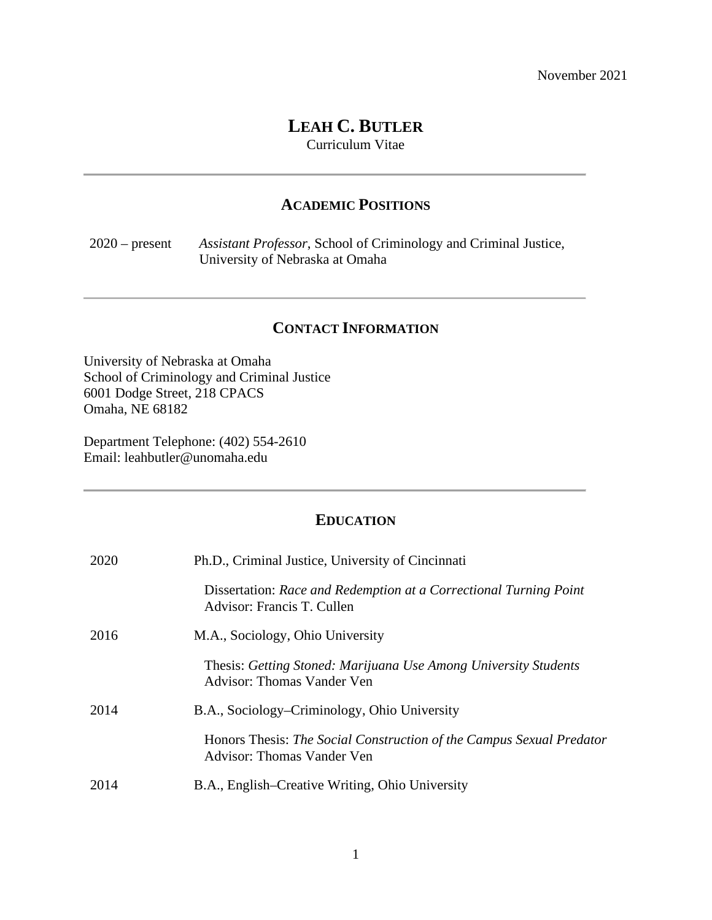# **LEAH C. BUTLER**

Curriculum Vitae

# **ACADEMIC POSITIONS**

2020 – present *Assistant Professor*, School of Criminology and Criminal Justice, University of Nebraska at Omaha

# **CONTACT INFORMATION**

University of Nebraska at Omaha School of Criminology and Criminal Justice 6001 Dodge Street, 218 CPACS Omaha, NE 68182

Department Telephone: (402) 554-2610 Email: leahbutler@unomaha.edu

## **EDUCATION**

| 2020 | Ph.D., Criminal Justice, University of Cincinnati                                                  |
|------|----------------------------------------------------------------------------------------------------|
|      | Dissertation: Race and Redemption at a Correctional Turning Point<br>Advisor: Francis T. Cullen    |
| 2016 | M.A., Sociology, Ohio University                                                                   |
|      | Thesis: Getting Stoned: Marijuana Use Among University Students<br>Advisor: Thomas Vander Ven      |
| 2014 | B.A., Sociology–Criminology, Ohio University                                                       |
|      | Honors Thesis: The Social Construction of the Campus Sexual Predator<br>Advisor: Thomas Vander Ven |
| 2014 | B.A., English–Creative Writing, Ohio University                                                    |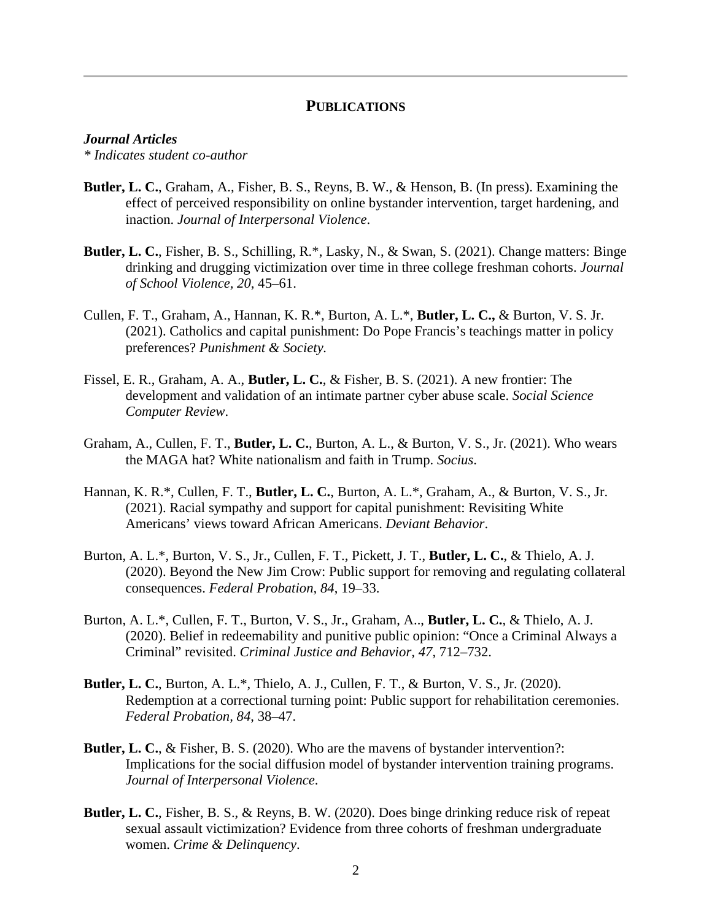## **PUBLICATIONS**

#### *Journal Articles*

*\* Indicates student co-author*

- **Butler, L. C.**, Graham, A., Fisher, B. S., Reyns, B. W., & Henson, B. (In press). Examining the effect of perceived responsibility on online bystander intervention, target hardening, and inaction. *Journal of Interpersonal Violence*.
- **Butler, L. C.**, Fisher, B. S., Schilling, R.\*, Lasky, N., & Swan, S. (2021). Change matters: Binge drinking and drugging victimization over time in three college freshman cohorts. *Journal of School Violence, 20*, 45–61.
- Cullen, F. T., Graham, A., Hannan, K. R.\*, Burton, A. L.\*, **Butler, L. C.,** & Burton, V. S. Jr. (2021). Catholics and capital punishment: Do Pope Francis's teachings matter in policy preferences? *Punishment & Society.*
- Fissel, E. R., Graham, A. A., **Butler, L. C.**, & Fisher, B. S. (2021). A new frontier: The development and validation of an intimate partner cyber abuse scale. *Social Science Computer Review*.
- Graham, A., Cullen, F. T., **Butler, L. C.**, Burton, A. L., & Burton, V. S., Jr. (2021). Who wears the MAGA hat? White nationalism and faith in Trump. *Socius*.
- Hannan, K. R.\*, Cullen, F. T., **Butler, L. C.**, Burton, A. L.\*, Graham, A., & Burton, V. S., Jr. (2021). Racial sympathy and support for capital punishment: Revisiting White Americans' views toward African Americans. *Deviant Behavior*.
- Burton, A. L.\*, Burton, V. S., Jr., Cullen, F. T., Pickett, J. T., **Butler, L. C.**, & Thielo, A. J. (2020). Beyond the New Jim Crow: Public support for removing and regulating collateral consequences. *Federal Probation, 84*, 19–33.
- Burton, A. L.\*, Cullen, F. T., Burton, V. S., Jr., Graham, A.., **Butler, L. C.**, & Thielo, A. J. (2020). Belief in redeemability and punitive public opinion: "Once a Criminal Always a Criminal" revisited. *Criminal Justice and Behavior, 47*, 712–732.
- **Butler, L. C.**, Burton, A. L.\*, Thielo, A. J., Cullen, F. T., & Burton, V. S., Jr. (2020). Redemption at a correctional turning point: Public support for rehabilitation ceremonies. *Federal Probation, 84*, 38–47.
- **Butler, L. C.**, & Fisher, B. S. (2020). Who are the mavens of bystander intervention?: Implications for the social diffusion model of bystander intervention training programs. *Journal of Interpersonal Violence*.
- **Butler, L. C.**, Fisher, B. S., & Reyns, B. W. (2020). Does binge drinking reduce risk of repeat sexual assault victimization? Evidence from three cohorts of freshman undergraduate women. *Crime & Delinquency*.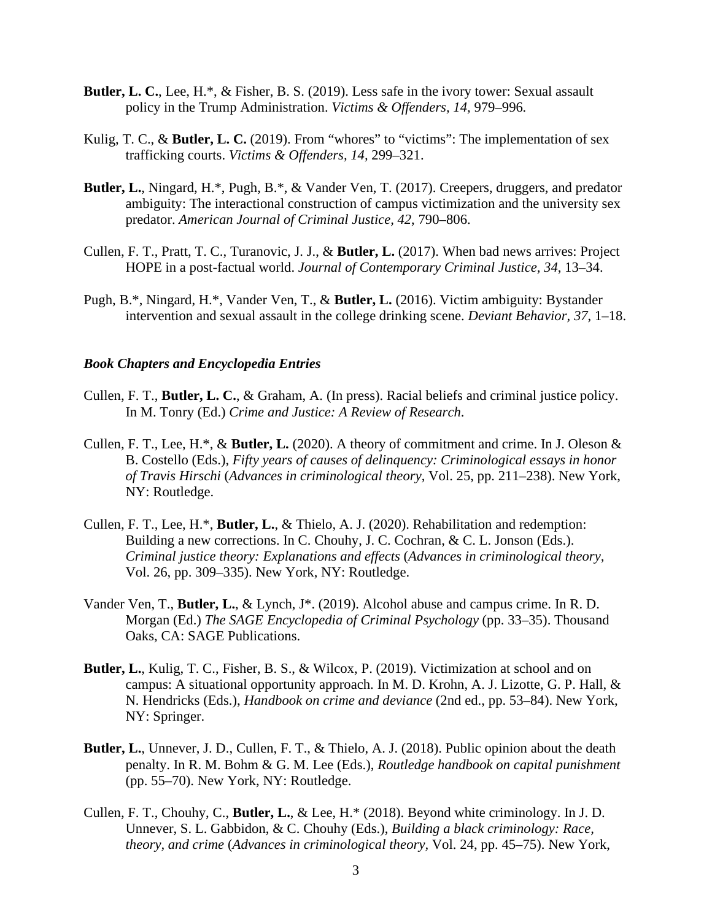- **Butler, L. C.**, Lee, H.\*, & Fisher, B. S. (2019). Less safe in the ivory tower: Sexual assault policy in the Trump Administration. *Victims & Offenders, 14,* 979–996*.*
- Kulig, T. C., & **Butler, L. C.** (2019). From "whores" to "victims": The implementation of sex trafficking courts. *Victims & Offenders, 14,* 299–321.
- **Butler, L.**, Ningard, H.\*, Pugh, B.\*, & Vander Ven, T. (2017). Creepers, druggers, and predator ambiguity: The interactional construction of campus victimization and the university sex predator. *American Journal of Criminal Justice, 42*, 790–806.
- Cullen, F. T., Pratt, T. C., Turanovic, J. J., & **Butler, L.** (2017). When bad news arrives: Project HOPE in a post-factual world. *Journal of Contemporary Criminal Justice, 34*, 13–34.
- Pugh, B.\*, Ningard, H.\*, Vander Ven, T., & **Butler, L.** (2016). Victim ambiguity: Bystander intervention and sexual assault in the college drinking scene. *Deviant Behavior, 37*, 1–18.

#### *Book Chapters and Encyclopedia Entries*

- Cullen, F. T., **Butler, L. C.**, & Graham, A. (In press). Racial beliefs and criminal justice policy. In M. Tonry (Ed.) *Crime and Justice: A Review of Research*.
- Cullen, F. T., Lee, H.\*, & **Butler, L.** (2020). A theory of commitment and crime. In J. Oleson & B. Costello (Eds.), *Fifty years of causes of delinquency: Criminological essays in honor of Travis Hirschi* (*Advances in criminological theory*, Vol. 25, pp. 211–238). New York, NY: Routledge.
- Cullen, F. T., Lee, H.\*, **Butler, L.**, & Thielo, A. J. (2020). Rehabilitation and redemption: Building a new corrections. In C. Chouhy, J. C. Cochran, & C. L. Jonson (Eds.). *Criminal justice theory: Explanations and effects* (*Advances in criminological theory,* Vol. 26, pp. 309–335). New York, NY: Routledge.
- Vander Ven, T., **Butler, L.**, & Lynch, J\*. (2019). Alcohol abuse and campus crime. In R. D. Morgan (Ed.) *The SAGE Encyclopedia of Criminal Psychology* (pp. 33–35). Thousand Oaks, CA: SAGE Publications.
- **Butler, L.**, Kulig, T. C., Fisher, B. S., & Wilcox, P. (2019). Victimization at school and on campus: A situational opportunity approach. In M. D. Krohn, A. J. Lizotte, G. P. Hall, & N. Hendricks (Eds.), *Handbook on crime and deviance* (2nd ed., pp. 53–84). New York, NY: Springer.
- **Butler, L.**, Unnever, J. D., Cullen, F. T., & Thielo, A. J. (2018). Public opinion about the death penalty. In R. M. Bohm & G. M. Lee (Eds.), *Routledge handbook on capital punishment* (pp. 55–70). New York, NY: Routledge.
- Cullen, F. T., Chouhy, C., **Butler, L.**, & Lee, H.\* (2018). Beyond white criminology. In J. D. Unnever, S. L. Gabbidon, & C. Chouhy (Eds.), *Building a black criminology: Race, theory, and crime* (*Advances in criminological theory,* Vol. 24, pp. 45–75). New York,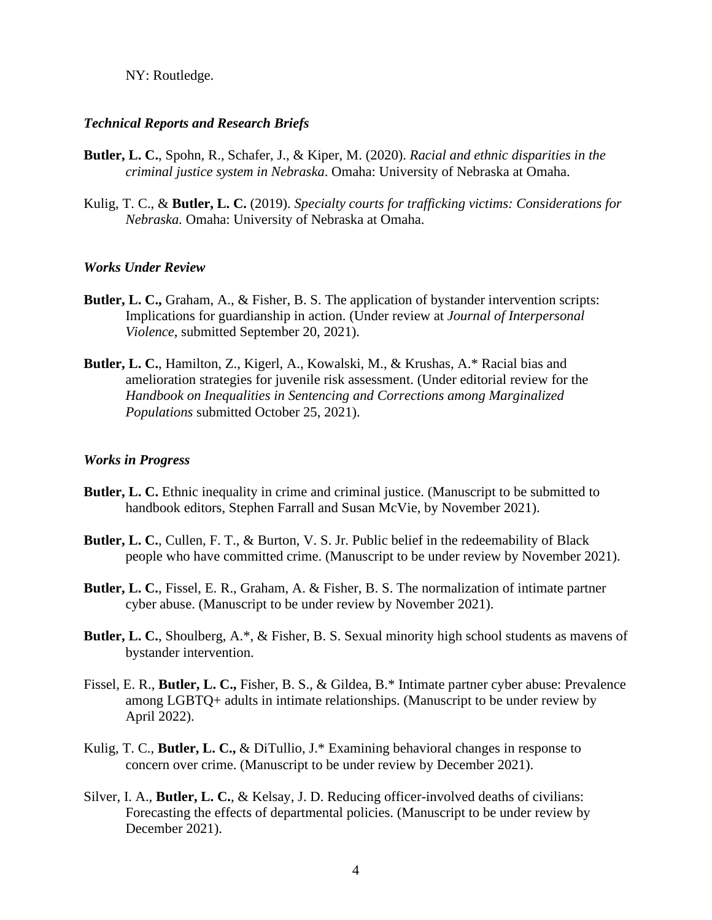## NY: Routledge.

### *Technical Reports and Research Briefs*

- **Butler, L. C.**, Spohn, R., Schafer, J., & Kiper, M. (2020). *Racial and ethnic disparities in the criminal justice system in Nebraska*. Omaha: University of Nebraska at Omaha.
- Kulig, T. C., & **Butler, L. C.** (2019). *Specialty courts for trafficking victims: Considerations for Nebraska.* Omaha: University of Nebraska at Omaha.

#### *Works Under Review*

- **Butler, L. C.,** Graham, A., & Fisher, B. S. The application of bystander intervention scripts: Implications for guardianship in action. (Under review at *Journal of Interpersonal Violence*, submitted September 20, 2021).
- **Butler, L. C.**, Hamilton, Z., Kigerl, A., Kowalski, M., & Krushas, A.\* Racial bias and amelioration strategies for juvenile risk assessment. (Under editorial review for the *Handbook on Inequalities in Sentencing and Corrections among Marginalized Populations* submitted October 25, 2021).

### *Works in Progress*

- **Butler, L. C.** Ethnic inequality in crime and criminal justice. (Manuscript to be submitted to handbook editors, Stephen Farrall and Susan McVie, by November 2021).
- **Butler, L. C.**, Cullen, F. T., & Burton, V. S. Jr. Public belief in the redeemability of Black people who have committed crime. (Manuscript to be under review by November 2021).
- **Butler, L. C.**, Fissel, E. R., Graham, A. & Fisher, B. S. The normalization of intimate partner cyber abuse. (Manuscript to be under review by November 2021).
- **Butler, L. C.**, Shoulberg, A.\*, & Fisher, B. S. Sexual minority high school students as mavens of bystander intervention.
- Fissel, E. R., **Butler, L. C.,** Fisher, B. S., & Gildea, B.\* Intimate partner cyber abuse: Prevalence among LGBTQ+ adults in intimate relationships. (Manuscript to be under review by April 2022).
- Kulig, T. C., **Butler, L. C.,** & DiTullio, J.\* Examining behavioral changes in response to concern over crime. (Manuscript to be under review by December 2021).
- Silver, I. A., **Butler, L. C.**, & Kelsay, J. D. Reducing officer-involved deaths of civilians: Forecasting the effects of departmental policies. (Manuscript to be under review by December 2021).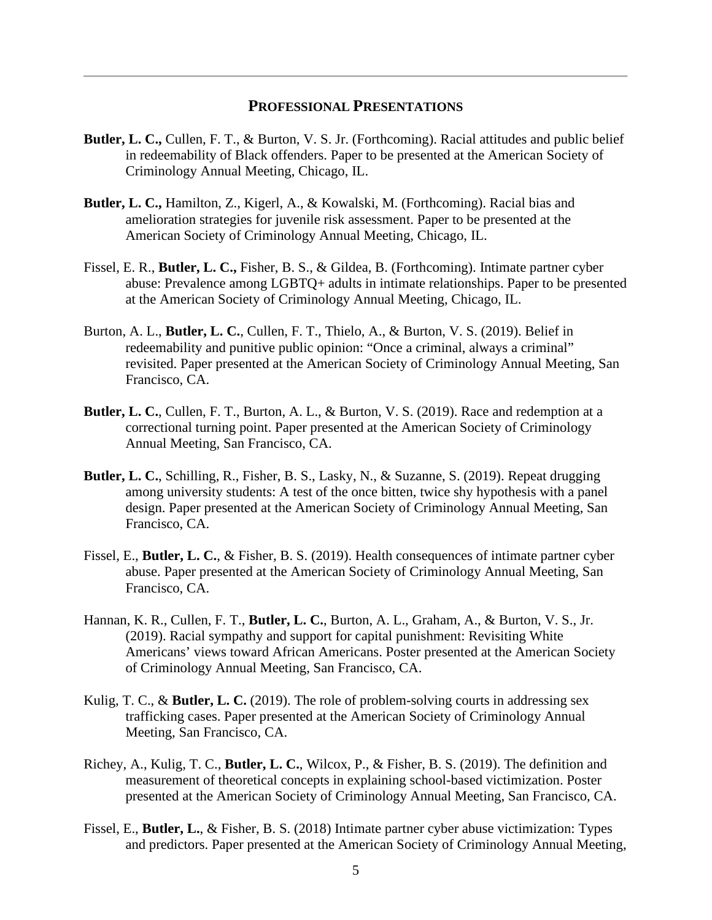## **PROFESSIONAL PRESENTATIONS**

- **Butler, L. C.,** Cullen, F. T., & Burton, V. S. Jr. (Forthcoming). Racial attitudes and public belief in redeemability of Black offenders. Paper to be presented at the American Society of Criminology Annual Meeting, Chicago, IL.
- **Butler, L. C.,** Hamilton, Z., Kigerl, A., & Kowalski, M. (Forthcoming). Racial bias and amelioration strategies for juvenile risk assessment. Paper to be presented at the American Society of Criminology Annual Meeting, Chicago, IL.
- Fissel, E. R., **Butler, L. C.,** Fisher, B. S., & Gildea, B. (Forthcoming). Intimate partner cyber abuse: Prevalence among LGBTQ+ adults in intimate relationships. Paper to be presented at the American Society of Criminology Annual Meeting, Chicago, IL.
- Burton, A. L., **Butler, L. C.**, Cullen, F. T., Thielo, A., & Burton, V. S. (2019). Belief in redeemability and punitive public opinion: "Once a criminal, always a criminal" revisited. Paper presented at the American Society of Criminology Annual Meeting, San Francisco, CA.
- **Butler, L. C.**, Cullen, F. T., Burton, A. L., & Burton, V. S. (2019). Race and redemption at a correctional turning point. Paper presented at the American Society of Criminology Annual Meeting, San Francisco, CA.
- **Butler, L. C.**, Schilling, R., Fisher, B. S., Lasky, N., & Suzanne, S. (2019). Repeat drugging among university students: A test of the once bitten, twice shy hypothesis with a panel design. Paper presented at the American Society of Criminology Annual Meeting, San Francisco, CA.
- Fissel, E., **Butler, L. C.**, & Fisher, B. S. (2019). Health consequences of intimate partner cyber abuse. Paper presented at the American Society of Criminology Annual Meeting, San Francisco, CA.
- Hannan, K. R., Cullen, F. T., **Butler, L. C.**, Burton, A. L., Graham, A., & Burton, V. S., Jr. (2019). Racial sympathy and support for capital punishment: Revisiting White Americans' views toward African Americans. Poster presented at the American Society of Criminology Annual Meeting, San Francisco, CA.
- Kulig, T. C., & **Butler, L. C.** (2019). The role of problem-solving courts in addressing sex trafficking cases. Paper presented at the American Society of Criminology Annual Meeting, San Francisco, CA.
- Richey, A., Kulig, T. C., **Butler, L. C.**, Wilcox, P., & Fisher, B. S. (2019). The definition and measurement of theoretical concepts in explaining school-based victimization. Poster presented at the American Society of Criminology Annual Meeting, San Francisco, CA.
- Fissel, E., **Butler, L.**, & Fisher, B. S. (2018) Intimate partner cyber abuse victimization: Types and predictors. Paper presented at the American Society of Criminology Annual Meeting,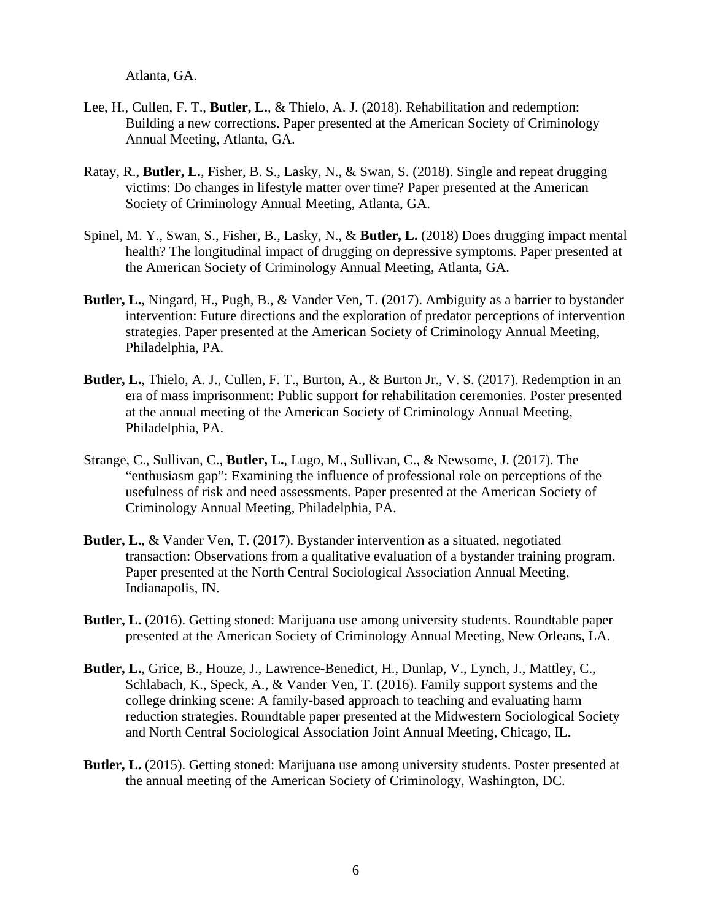Atlanta, GA.

- Lee, H., Cullen, F. T., **Butler, L.**, & Thielo, A. J. (2018). Rehabilitation and redemption: Building a new corrections. Paper presented at the American Society of Criminology Annual Meeting, Atlanta, GA.
- Ratay, R., **Butler, L.**, Fisher, B. S., Lasky, N., & Swan, S. (2018). Single and repeat drugging victims: Do changes in lifestyle matter over time? Paper presented at the American Society of Criminology Annual Meeting, Atlanta, GA.
- Spinel, M. Y., Swan, S., Fisher, B., Lasky, N., & **Butler, L.** (2018) Does drugging impact mental health? The longitudinal impact of drugging on depressive symptoms. Paper presented at the American Society of Criminology Annual Meeting, Atlanta, GA.
- **Butler, L.**, Ningard, H., Pugh, B., & Vander Ven, T. (2017). Ambiguity as a barrier to bystander intervention: Future directions and the exploration of predator perceptions of intervention strategies*.* Paper presented at the American Society of Criminology Annual Meeting, Philadelphia, PA.
- **Butler, L.**, Thielo, A. J., Cullen, F. T., Burton, A., & Burton Jr., V. S. (2017). Redemption in an era of mass imprisonment: Public support for rehabilitation ceremonies*.* Poster presented at the annual meeting of the American Society of Criminology Annual Meeting, Philadelphia, PA.
- Strange, C., Sullivan, C., **Butler, L.**, Lugo, M., Sullivan, C., & Newsome, J. (2017). The "enthusiasm gap": Examining the influence of professional role on perceptions of the usefulness of risk and need assessments. Paper presented at the American Society of Criminology Annual Meeting, Philadelphia, PA.
- **Butler, L.**, & Vander Ven, T. (2017). Bystander intervention as a situated, negotiated transaction: Observations from a qualitative evaluation of a bystander training program. Paper presented at the North Central Sociological Association Annual Meeting, Indianapolis, IN.
- **Butler, L.** (2016). Getting stoned: Marijuana use among university students. Roundtable paper presented at the American Society of Criminology Annual Meeting, New Orleans, LA.
- **Butler, L.**, Grice, B., Houze, J., Lawrence-Benedict, H., Dunlap, V., Lynch, J., Mattley, C., Schlabach, K., Speck, A., & Vander Ven, T. (2016). Family support systems and the college drinking scene: A family-based approach to teaching and evaluating harm reduction strategies. Roundtable paper presented at the Midwestern Sociological Society and North Central Sociological Association Joint Annual Meeting, Chicago, IL.
- **Butler, L.** (2015). Getting stoned: Marijuana use among university students. Poster presented at the annual meeting of the American Society of Criminology, Washington, DC.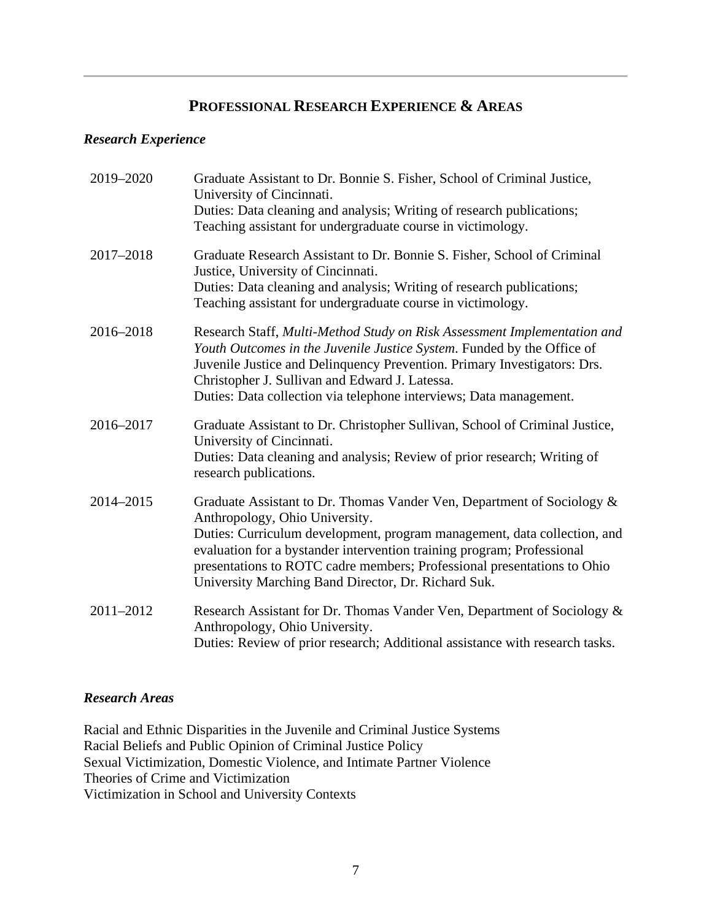# **PROFESSIONAL RESEARCH EXPERIENCE & AREAS**

## *Research Experience*

| 2019-2020 | Graduate Assistant to Dr. Bonnie S. Fisher, School of Criminal Justice,<br>University of Cincinnati.<br>Duties: Data cleaning and analysis; Writing of research publications;<br>Teaching assistant for undergraduate course in victimology.                                                                                                                                                     |
|-----------|--------------------------------------------------------------------------------------------------------------------------------------------------------------------------------------------------------------------------------------------------------------------------------------------------------------------------------------------------------------------------------------------------|
| 2017-2018 | Graduate Research Assistant to Dr. Bonnie S. Fisher, School of Criminal<br>Justice, University of Cincinnati.<br>Duties: Data cleaning and analysis; Writing of research publications;<br>Teaching assistant for undergraduate course in victimology.                                                                                                                                            |
| 2016-2018 | Research Staff, Multi-Method Study on Risk Assessment Implementation and<br>Youth Outcomes in the Juvenile Justice System. Funded by the Office of<br>Juvenile Justice and Delinquency Prevention. Primary Investigators: Drs.<br>Christopher J. Sullivan and Edward J. Latessa.<br>Duties: Data collection via telephone interviews; Data management.                                           |
| 2016-2017 | Graduate Assistant to Dr. Christopher Sullivan, School of Criminal Justice,<br>University of Cincinnati.<br>Duties: Data cleaning and analysis; Review of prior research; Writing of<br>research publications.                                                                                                                                                                                   |
| 2014-2015 | Graduate Assistant to Dr. Thomas Vander Ven, Department of Sociology &<br>Anthropology, Ohio University.<br>Duties: Curriculum development, program management, data collection, and<br>evaluation for a bystander intervention training program; Professional<br>presentations to ROTC cadre members; Professional presentations to Ohio<br>University Marching Band Director, Dr. Richard Suk. |
| 2011-2012 | Research Assistant for Dr. Thomas Vander Ven, Department of Sociology &<br>Anthropology, Ohio University.<br>Duties: Review of prior research; Additional assistance with research tasks.                                                                                                                                                                                                        |

## *Research Areas*

Racial and Ethnic Disparities in the Juvenile and Criminal Justice Systems Racial Beliefs and Public Opinion of Criminal Justice Policy Sexual Victimization, Domestic Violence, and Intimate Partner Violence Theories of Crime and Victimization Victimization in School and University Contexts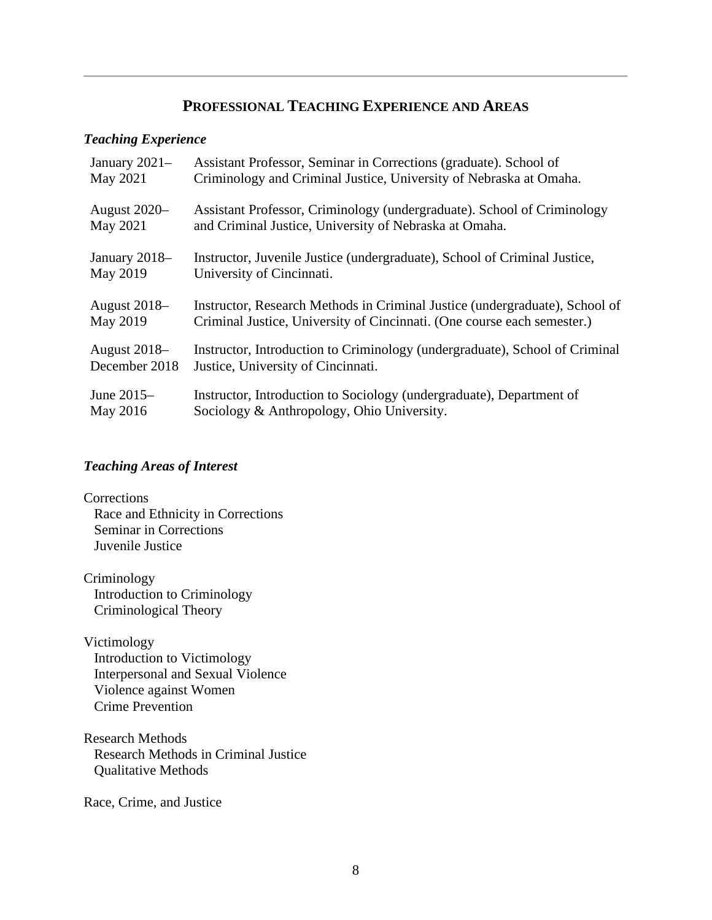## **PROFESSIONAL TEACHING EXPERIENCE AND AREAS**

## *Teaching Experience*

| January 2021-       | Assistant Professor, Seminar in Corrections (graduate). School of           |
|---------------------|-----------------------------------------------------------------------------|
| May 2021            | Criminology and Criminal Justice, University of Nebraska at Omaha.          |
| August 2020-        | Assistant Professor, Criminology (undergraduate). School of Criminology     |
| May 2021            | and Criminal Justice, University of Nebraska at Omaha.                      |
| January 2018-       | Instructor, Juvenile Justice (undergraduate), School of Criminal Justice,   |
| May 2019            | University of Cincinnati.                                                   |
| August 2018–        | Instructor, Research Methods in Criminal Justice (undergraduate), School of |
| May 2019            | Criminal Justice, University of Cincinnati. (One course each semester.)     |
| <b>August 2018–</b> | Instructor, Introduction to Criminology (undergraduate), School of Criminal |
| December 2018       | Justice, University of Cincinnati.                                          |
| June $2015-$        | Instructor, Introduction to Sociology (undergraduate), Department of        |
| May 2016            | Sociology & Anthropology, Ohio University.                                  |

# *Teaching Areas of Interest*

**Corrections**  Race and Ethnicity in Corrections Seminar in Corrections Juvenile Justice

Criminology Introduction to Criminology Criminological Theory

Victimology Introduction to Victimology Interpersonal and Sexual Violence Violence against Women Crime Prevention

Research Methods Research Methods in Criminal Justice Qualitative Methods

Race, Crime, and Justice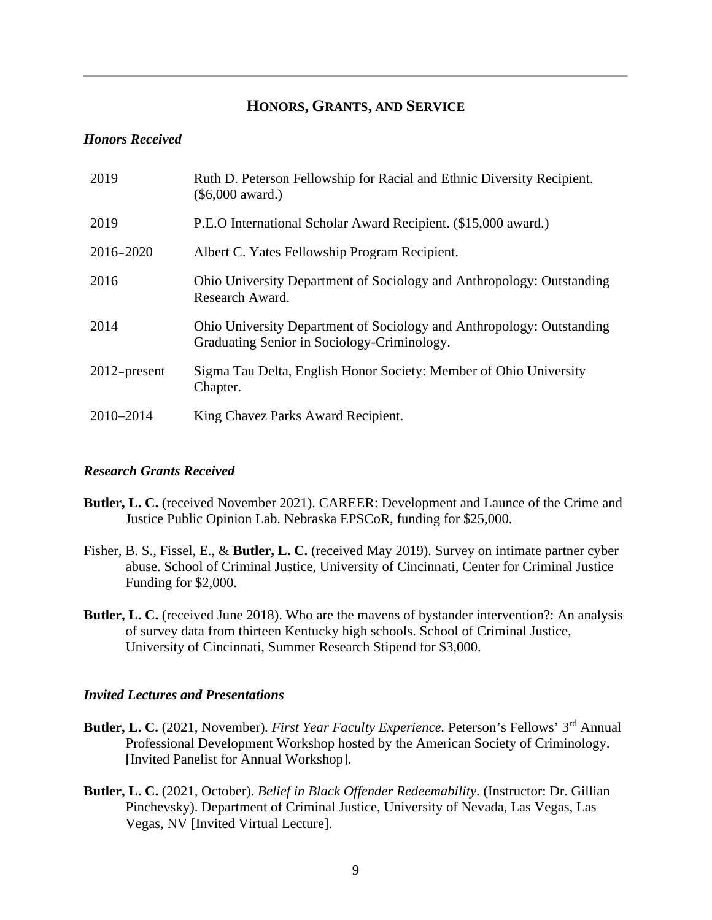## **HONORS, GRANTS, AND SERVICE**

#### *Honors Received*

| 2019            | Ruth D. Peterson Fellowship for Racial and Ethnic Diversity Recipient.<br>$(\$6,000$ award.)                         |
|-----------------|----------------------------------------------------------------------------------------------------------------------|
| 2019            | P.E.O International Scholar Award Recipient. (\$15,000 award.)                                                       |
| 2016-2020       | Albert C. Yates Fellowship Program Recipient.                                                                        |
| 2016            | Ohio University Department of Sociology and Anthropology: Outstanding<br>Research Award.                             |
| 2014            | Ohio University Department of Sociology and Anthropology: Outstanding<br>Graduating Senior in Sociology-Criminology. |
| $2012$ -present | Sigma Tau Delta, English Honor Society: Member of Ohio University<br>Chapter.                                        |
| 2010-2014       | King Chavez Parks Award Recipient.                                                                                   |

### *Research Grants Received*

- **Butler, L. C.** (received November 2021). CAREER: Development and Launce of the Crime and Justice Public Opinion Lab. Nebraska EPSCoR, funding for \$25,000.
- Fisher, B. S., Fissel, E., & **Butler, L. C.** (received May 2019). Survey on intimate partner cyber abuse. School of Criminal Justice, University of Cincinnati, Center for Criminal Justice Funding for \$2,000.
- **Butler, L. C.** (received June 2018). Who are the mavens of bystander intervention?: An analysis of survey data from thirteen Kentucky high schools. School of Criminal Justice, University of Cincinnati, Summer Research Stipend for \$3,000.

#### *Invited Lectures and Presentations*

- Butler, L. C. (2021, November). First Year Faculty Experience. Peterson's Fellows' 3<sup>rd</sup> Annual Professional Development Workshop hosted by the American Society of Criminology. [Invited Panelist for Annual Workshop].
- **Butler, L. C.** (2021, October). *Belief in Black Offender Redeemability*. (Instructor: Dr. Gillian Pinchevsky). Department of Criminal Justice, University of Nevada, Las Vegas, Las Vegas, NV [Invited Virtual Lecture].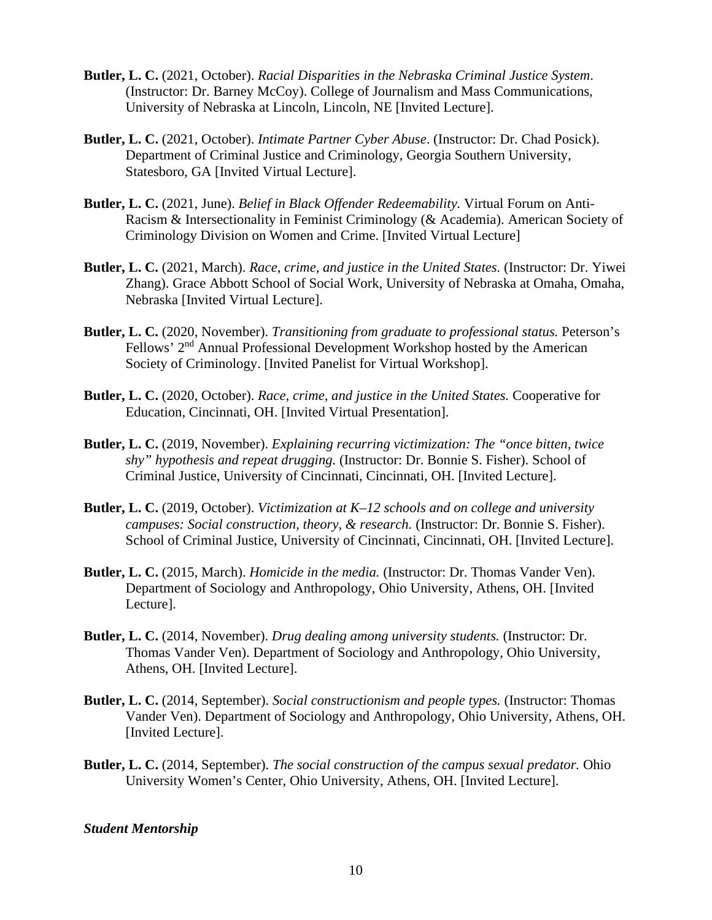- **Butler, L. C.** (2021, October). *Racial Disparities in the Nebraska Criminal Justice System*. (Instructor: Dr. Barney McCoy). College of Journalism and Mass Communications, University of Nebraska at Lincoln, Lincoln, NE [Invited Lecture].
- **Butler, L. C.** (2021, October). *Intimate Partner Cyber Abuse*. (Instructor: Dr. Chad Posick). Department of Criminal Justice and Criminology, Georgia Southern University, Statesboro, GA [Invited Virtual Lecture].
- **Butler, L. C.** (2021, June). *Belief in Black Offender Redeemability.* Virtual Forum on Anti-Racism & Intersectionality in Feminist Criminology (& Academia). American Society of Criminology Division on Women and Crime. [Invited Virtual Lecture]
- **Butler, L. C.** (2021, March). *Race, crime, and justice in the United States.* (Instructor: Dr. Yiwei Zhang). Grace Abbott School of Social Work, University of Nebraska at Omaha, Omaha, Nebraska [Invited Virtual Lecture].
- **Butler, L. C.** (2020, November). *Transitioning from graduate to professional status.* Peterson's Fellows' 2<sup>nd</sup> Annual Professional Development Workshop hosted by the American Society of Criminology. [Invited Panelist for Virtual Workshop].
- **Butler, L. C.** (2020, October). *Race, crime, and justice in the United States.* Cooperative for Education, Cincinnati, OH. [Invited Virtual Presentation].
- **Butler, L. C.** (2019, November). *Explaining recurring victimization: The "once bitten, twice shy" hypothesis and repeat drugging.* (Instructor: Dr. Bonnie S. Fisher). School of Criminal Justice, University of Cincinnati, Cincinnati, OH. [Invited Lecture].
- **Butler, L. C.** (2019, October). *Victimization at K–12 schools and on college and university campuses: Social construction, theory, & research.* (Instructor: Dr. Bonnie S. Fisher). School of Criminal Justice, University of Cincinnati, Cincinnati, OH. [Invited Lecture].
- **Butler, L. C.** (2015, March). *Homicide in the media.* (Instructor: Dr. Thomas Vander Ven). Department of Sociology and Anthropology, Ohio University, Athens, OH. [Invited Lecture].
- **Butler, L. C.** (2014, November). *Drug dealing among university students.* (Instructor: Dr. Thomas Vander Ven). Department of Sociology and Anthropology, Ohio University, Athens, OH. [Invited Lecture].
- **Butler, L. C.** (2014, September). *Social constructionism and people types.* (Instructor: Thomas Vander Ven). Department of Sociology and Anthropology, Ohio University, Athens, OH. [Invited Lecture].
- **Butler, L. C.** (2014, September). *The social construction of the campus sexual predator.* Ohio University Women's Center, Ohio University, Athens, OH. [Invited Lecture].

#### *Student Mentorship*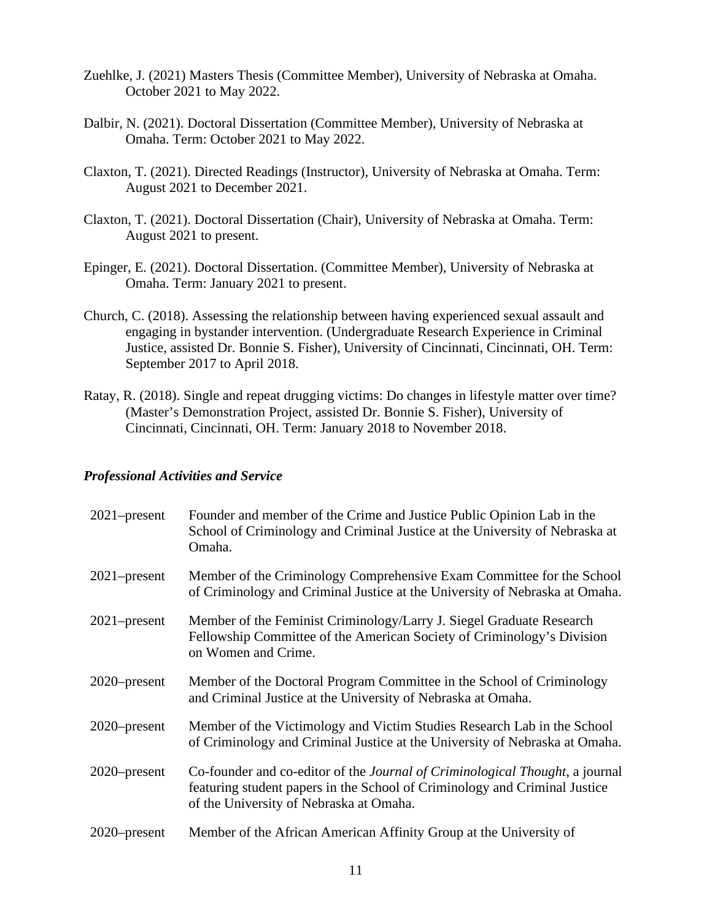- Zuehlke, J. (2021) Masters Thesis (Committee Member), University of Nebraska at Omaha. October 2021 to May 2022.
- Dalbir, N. (2021). Doctoral Dissertation (Committee Member), University of Nebraska at Omaha. Term: October 2021 to May 2022.
- Claxton, T. (2021). Directed Readings (Instructor), University of Nebraska at Omaha. Term: August 2021 to December 2021.
- Claxton, T. (2021). Doctoral Dissertation (Chair), University of Nebraska at Omaha. Term: August 2021 to present.
- Epinger, E. (2021). Doctoral Dissertation. (Committee Member), University of Nebraska at Omaha. Term: January 2021 to present.
- Church, C. (2018). Assessing the relationship between having experienced sexual assault and engaging in bystander intervention. (Undergraduate Research Experience in Criminal Justice, assisted Dr. Bonnie S. Fisher), University of Cincinnati, Cincinnati, OH. Term: September 2017 to April 2018.
- Ratay, R. (2018). Single and repeat drugging victims: Do changes in lifestyle matter over time? (Master's Demonstration Project, assisted Dr. Bonnie S. Fisher), University of Cincinnati, Cincinnati, OH. Term: January 2018 to November 2018.

## *Professional Activities and Service*

| $2021$ -present | Founder and member of the Crime and Justice Public Opinion Lab in the<br>School of Criminology and Criminal Justice at the University of Nebraska at<br>Omaha.                                        |
|-----------------|-------------------------------------------------------------------------------------------------------------------------------------------------------------------------------------------------------|
| $2021$ -present | Member of the Criminology Comprehensive Exam Committee for the School<br>of Criminology and Criminal Justice at the University of Nebraska at Omaha.                                                  |
| $2021$ -present | Member of the Feminist Criminology/Larry J. Siegel Graduate Research<br>Fellowship Committee of the American Society of Criminology's Division<br>on Women and Crime.                                 |
| $2020$ -present | Member of the Doctoral Program Committee in the School of Criminology<br>and Criminal Justice at the University of Nebraska at Omaha.                                                                 |
| $2020$ -present | Member of the Victimology and Victim Studies Research Lab in the School<br>of Criminology and Criminal Justice at the University of Nebraska at Omaha.                                                |
| $2020$ -present | Co-founder and co-editor of the Journal of Criminological Thought, a journal<br>featuring student papers in the School of Criminology and Criminal Justice<br>of the University of Nebraska at Omaha. |
| $2020$ -present | Member of the African American Affinity Group at the University of                                                                                                                                    |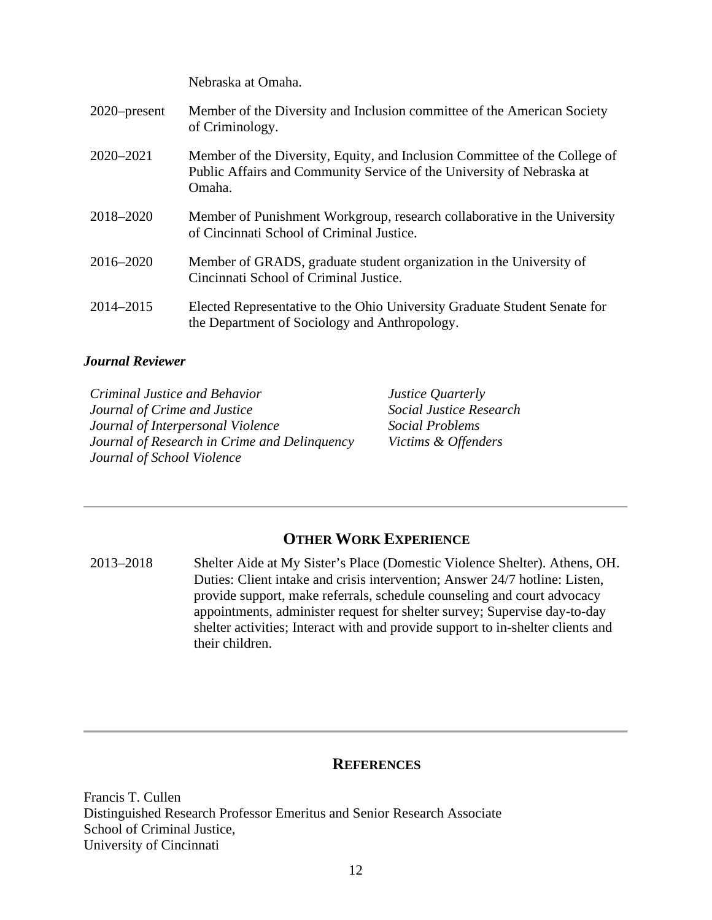Nebraska at Omaha.

| $2020$ -present | Member of the Diversity and Inclusion committee of the American Society<br>of Criminology.                                                                    |
|-----------------|---------------------------------------------------------------------------------------------------------------------------------------------------------------|
| 2020-2021       | Member of the Diversity, Equity, and Inclusion Committee of the College of<br>Public Affairs and Community Service of the University of Nebraska at<br>Omaha. |
| 2018-2020       | Member of Punishment Workgroup, research collaborative in the University<br>of Cincinnati School of Criminal Justice.                                         |
| 2016-2020       | Member of GRADS, graduate student organization in the University of<br>Cincinnati School of Criminal Justice.                                                 |
| 2014-2015       | Elected Representative to the Ohio University Graduate Student Senate for<br>the Department of Sociology and Anthropology.                                    |

## *Journal Reviewer*

*Criminal Justice and Behavior Journal of Crime and Justice Journal of Interpersonal Violence Journal of Research in Crime and Delinquency Journal of School Violence*

*Justice Quarterly Social Justice Research Social Problems Victims & Offenders*

# **OTHER WORK EXPERIENCE**

2013–2018 Shelter Aide at My Sister's Place (Domestic Violence Shelter). Athens, OH. Duties: Client intake and crisis intervention; Answer 24/7 hotline: Listen, provide support, make referrals, schedule counseling and court advocacy appointments, administer request for shelter survey; Supervise day-to-day shelter activities; Interact with and provide support to in-shelter clients and their children.

## **REFERENCES**

Francis T. Cullen Distinguished Research Professor Emeritus and Senior Research Associate School of Criminal Justice, University of Cincinnati